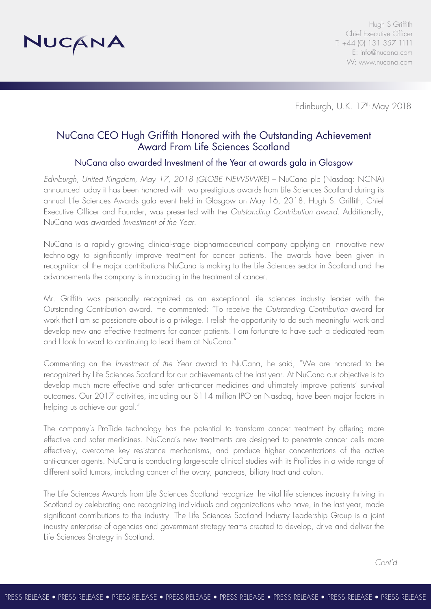

Edinburgh, U.K. 17<sup>th</sup> May 2018

# NuCana CEO Hugh Griffith Honored with the Outstanding Achievement Award From Life Sciences Scotland

# NuCana also awarded Investment of the Year at awards gala in Glasgow

*Edinburgh, United Kingdom, May 17, 2018 (GLOBE NEWSWIRE) –* NuCana plc (Nasdaq: NCNA) announced today it has been honored with two prestigious awards from Life Sciences Scotland during its annual Life Sciences Awards gala event held in Glasgow on May 16, 2018. Hugh S. Griffith, Chief Executive Officer and Founder, was presented with the *Outstanding Contribution award*. Additionally, NuCana was awarded *Investment of the Year*.

NuCana is a rapidly growing clinical-stage biopharmaceutical company applying an innovative new technology to significantly improve treatment for cancer patients. The awards have been given in recognition of the major contributions NuCana is making to the Life Sciences sector in Scotland and the advancements the company is introducing in the treatment of cancer.

Mr. Griffith was personally recognized as an exceptional life sciences industry leader with the Outstanding Contribution award. He commented: "To receive the *Outstanding Contribution* award for work that I am so passionate about is a privilege. I relish the opportunity to do such meaningful work and develop new and effective treatments for cancer patients. I am fortunate to have such a dedicated team and I look forward to continuing to lead them at NuCana."

Commenting on the *Investment of the Year* award to NuCana, he said, "We are honored to be recognized by Life Sciences Scotland for our achievements of the last year. At NuCana our objective is to develop much more effective and safer anti-cancer medicines and ultimately improve patients' survival outcomes. Our 2017 activities, including our \$114 million IPO on Nasdaq, have been major factors in helping us achieve our goal."

The company's ProTide technology has the potential to transform cancer treatment by offering more effective and safer medicines. NuCana's new treatments are designed to penetrate cancer cells more effectively, overcome key resistance mechanisms, and produce higher concentrations of the active anti-cancer agents. NuCana is conducting large-scale clinical studies with its ProTides in a wide range of different solid tumors, including cancer of the ovary, pancreas, biliary tract and colon.

The Life Sciences Awards from Life Sciences Scotland recognize the vital life sciences industry thriving in Scotland by celebrating and recognizing individuals and organizations who have, in the last year, made significant contributions to the industry. The Life Sciences Scotland Industry Leadership Group is a joint industry enterprise of agencies and government strategy teams created to develop, drive and deliver the Life Sciences Strategy in Scotland.

*Cont'd*